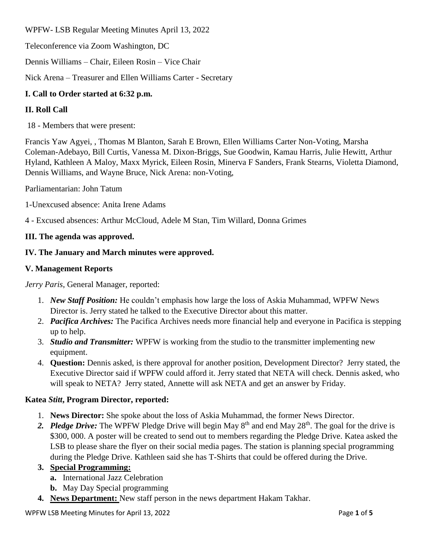WPFW- LSB Regular Meeting Minutes April 13, 2022

Teleconference via Zoom Washington, DC

Dennis Williams – Chair, Eileen Rosin – Vice Chair

Nick Arena – Treasurer and Ellen Williams Carter - Secretary

# **I. Call to Order started at 6:32 p.m.**

# **II. Roll Call**

18 - Members that were present:

Francis Yaw Agyei, , Thomas M Blanton, Sarah E Brown, Ellen Williams Carter Non-Voting, Marsha Coleman-Adebayo, Bill Curtis, Vanessa M. Dixon-Briggs, Sue Goodwin, Kamau Harris, Julie Hewitt, Arthur Hyland, Kathleen A Maloy, Maxx Myrick, Eileen Rosin, Minerva F Sanders, Frank Stearns, Violetta Diamond, Dennis Williams, and Wayne Bruce, Nick Arena: non-Voting,

Parliamentarian: John Tatum

1-Unexcused absence: Anita Irene Adams

4 - Excused absences: Arthur McCloud, Adele M Stan, Tim Willard, Donna Grimes

## **III. The agenda was approved.**

## **IV. The January and March minutes were approved.**

## **V. Management Reports**

*Jerry Paris*, General Manager, reported:

- 1. *New Staff Position:* He couldn't emphasis how large the loss of Askia Muhammad, WPFW News Director is. Jerry stated he talked to the Executive Director about this matter.
- 2. *Pacifica Archives:* The Pacifica Archives needs more financial help and everyone in Pacifica is stepping up to help.
- 3. *Studio and Transmitter:* WPFW is working from the studio to the transmitter implementing new equipment.
- 4. **Question:** Dennis asked, is there approval for another position, Development Director? Jerry stated, the Executive Director said if WPFW could afford it. Jerry stated that NETA will check. Dennis asked, who will speak to NETA? Jerry stated, Annette will ask NETA and get an answer by Friday.

## **Katea** *Stitt***, Program Director, reported:**

- 1. **News Director:** She spoke about the loss of Askia Muhammad, the former News Director.
- 2. Pledge Drive: The WPFW Pledge Drive will begin May  $8<sup>th</sup>$  and end May  $28<sup>th</sup>$ . The goal for the drive is \$300, 000. A poster will be created to send out to members regarding the Pledge Drive. Katea asked the LSB to please share the flyer on their social media pages. The station is planning special programming during the Pledge Drive. Kathleen said she has T-Shirts that could be offered during the Drive.

## **3. Special Programming:**

- **a.** International Jazz Celebration
- **b.** May Day Special programming
- **4. News Department:** New staff person in the news department Hakam Takhar.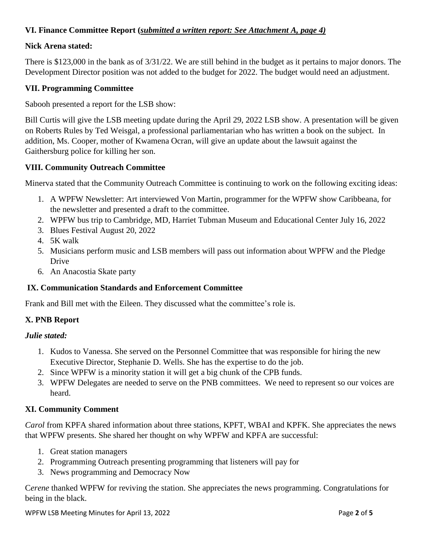# **VI. Finance Committee Report (***submitted a written report: See Attachment A, page 4)*

## **Nick Arena stated:**

There is \$123,000 in the bank as of 3/31/22. We are still behind in the budget as it pertains to major donors. The Development Director position was not added to the budget for 2022. The budget would need an adjustment.

### **VII. Programming Committee**

Sabooh presented a report for the LSB show:

Bill Curtis will give the LSB meeting update during the April 29, 2022 LSB show. A presentation will be given on Roberts Rules by Ted Weisgal, a professional parliamentarian who has written a book on the subject. In addition, Ms. Cooper, mother of Kwamena Ocran, will give an update about the lawsuit against the Gaithersburg police for killing her son.

### **VIII. Community Outreach Committee**

Minerva stated that the Community Outreach Committee is continuing to work on the following exciting ideas:

- 1. A WPFW Newsletter: Art interviewed Von Martin, programmer for the WPFW show Caribbeana, for the newsletter and presented a draft to the committee.
- 2. WPFW bus trip to Cambridge, MD, Harriet Tubman Museum and Educational Center July 16, 2022
- 3. Blues Festival August 20, 2022
- 4. 5K walk
- 5. Musicians perform music and LSB members will pass out information about WPFW and the Pledge Drive
- 6. An Anacostia Skate party

## **IX. Communication Standards and Enforcement Committee**

Frank and Bill met with the Eileen. They discussed what the committee's role is.

## **X. PNB Report**

#### *Julie stated:*

- 1. Kudos to Vanessa. She served on the Personnel Committee that was responsible for hiring the new Executive Director, Stephanie D. Wells. She has the expertise to do the job.
- 2. Since WPFW is a minority station it will get a big chunk of the CPB funds.
- 3. WPFW Delegates are needed to serve on the PNB committees. We need to represent so our voices are heard.

#### **XI. Community Comment**

*Carol* from KPFA shared information about three stations, KPFT, WBAI and KPFK. She appreciates the news that WPFW presents. She shared her thought on why WPFW and KPFA are successful:

- 1. Great station managers
- 2. Programming Outreach presenting programming that listeners will pay for
- 3. News programming and Democracy Now

C*erene* thanked WPFW for reviving the station. She appreciates the news programming. Congratulations for being in the black.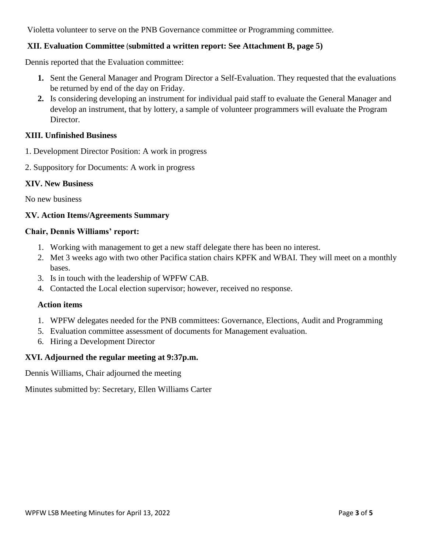Violetta volunteer to serve on the PNB Governance committee or Programming committee.

## **XII. Evaluation Committee** (**submitted a written report: See Attachment B, page 5)**

Dennis reported that the Evaluation committee:

- **1.** Sent the General Manager and Program Director a Self-Evaluation. They requested that the evaluations be returned by end of the day on Friday.
- **2.** Is considering developing an instrument for individual paid staff to evaluate the General Manager and develop an instrument, that by lottery, a sample of volunteer programmers will evaluate the Program Director.

### **XIII. Unfinished Business**

- 1. Development Director Position: A work in progress
- 2. Suppository for Documents: A work in progress

#### **XIV. New Business**

No new business

### **XV. Action Items/Agreements Summary**

### **Chair, Dennis Williams' report:**

- 1. Working with management to get a new staff delegate there has been no interest.
- 2. Met 3 weeks ago with two other Pacifica station chairs KPFK and WBAI. They will meet on a monthly bases.
- 3. Is in touch with the leadership of WPFW CAB.
- 4. Contacted the Local election supervisor; however, received no response.

#### **Action items**

- 1. WPFW delegates needed for the PNB committees: Governance, Elections, Audit and Programming
- 5. Evaluation committee assessment of documents for Management evaluation.
- 6. Hiring a Development Director

## **XVI. Adjourned the regular meeting at 9:37p.m.**

Dennis Williams, Chair adjourned the meeting

Minutes submitted by: Secretary, Ellen Williams Carter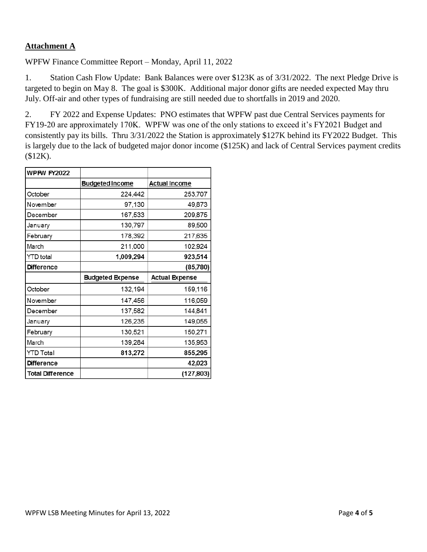# **Attachment A**

WPFW Finance Committee Report – Monday, April 11, 2022

1. Station Cash Flow Update: Bank Balances were over \$123K as of 3/31/2022. The next Pledge Drive is targeted to begin on May 8. The goal is \$300K. Additional major donor gifts are needed expected May thru July. Off-air and other types of fundraising are still needed due to shortfalls in 2019 and 2020.

2. FY 2022 and Expense Updates: PNO estimates that WPFW past due Central Services payments for FY19-20 are approximately 170K. WPFW was one of the only stations to exceed it's FY2021 Budget and consistently pay its bills. Thru 3/31/2022 the Station is approximately \$127K behind its FY2022 Budget. This is largely due to the lack of budgeted major donor income (\$125K) and lack of Central Services payment credits (\$12K).

| <b>WPFW FY2022</b>      |                         |                       |
|-------------------------|-------------------------|-----------------------|
|                         | <b>Budgeted Income</b>  | <b>Actual Income</b>  |
| October                 | 224,442                 | 253,707               |
| November                | 97,130                  | 49,873                |
| December                | 167,533                 | 209,875               |
| January                 | 130,797                 | 89,500                |
| February                | 178,392                 | 217,635               |
| March                   | 211,000                 | 102,924               |
| YTD total               | 1,009,294               | 923,514               |
| <b>Difference</b>       |                         | (85,780)              |
|                         | <b>Budgeted Expense</b> | <b>Actual Expense</b> |
| October                 | 132,194                 | 159,116               |
| November                | 147,456                 | 116,059               |
| December                | 137,582                 | 144,841               |
| January                 | 126,235                 | 149,055               |
| February                | 130,521                 | 150,271               |
| March                   | 139,284                 | 135,953               |
| YTD Total               | 813,272                 | 855,295               |
| <b>Difference</b>       |                         | 42,023                |
| <b>Total Difference</b> |                         | (127, 803)            |